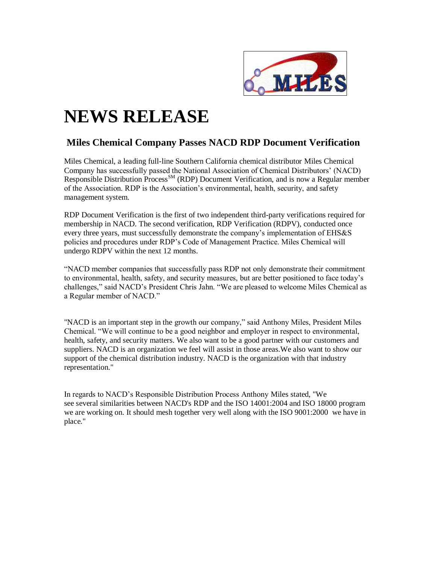

## **NEWS RELEASE**

## **Miles Chemical Company Passes NACD RDP Document Verification**

Miles Chemical, a leading full-line Southern California chemical distributor Miles Chemical Company has successfully passed the National Association of Chemical Distributors' (NACD) Responsible Distribution Process<sup>SM</sup> (RDP) Document Verification, and is now a Regular member of the Association. RDP is the Association's environmental, health, security, and safety management system.

RDP Document Verification is the first of two independent third-party verifications required for membership in NACD. The second verification, RDP Verification (RDPV), conducted once every three years, must successfully demonstrate the company's implementation of EHS&S policies and procedures under RDP's Code of Management Practice. Miles Chemical will undergo RDPV within the next 12 months.

"NACD member companies that successfully pass RDP not only demonstrate their commitment to environmental, health, safety, and security measures, but are better positioned to face today's challenges," said NACD's President Chris Jahn. "We are pleased to welcome Miles Chemical as a Regular member of NACD."

"NACD is an important step in the growth our company," said Anthony Miles, President Miles Chemical. "We will continue to be a good neighbor and employer in respect to environmental, health, safety, and security matters. We also want to be a good partner with our customers and suppliers. NACD is an organization we feel will assist in those areas.We also want to show our support of the chemical distribution industry. NACD is the organization with that industry representation."

In regards to NACD's Responsible Distribution Process Anthony Miles stated, "We see several similarities between NACD's RDP and the ISO 14001:2004 and ISO 18000 program we are working on. It should mesh together very well along with the ISO 9001:2000 we have in place."